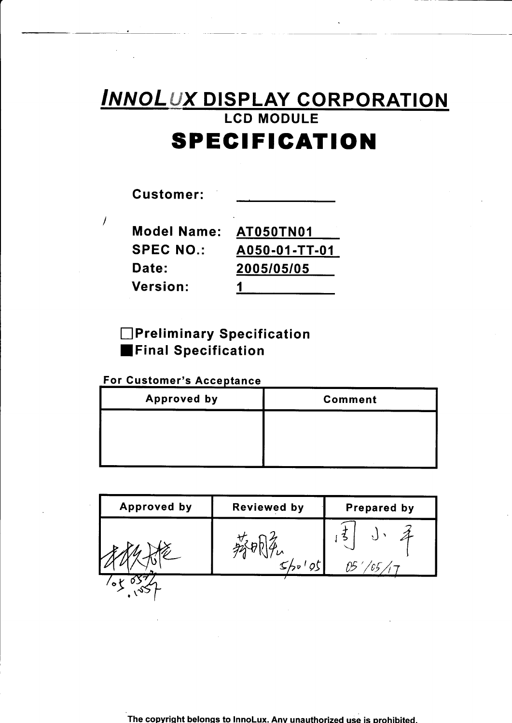# INNOLUX DISPLAY CORPORATION LCD MODULE **SPECIFICATION**

| Customer:          |               |
|--------------------|---------------|
| <b>Model Name:</b> | AT050TN01     |
| <b>SPEC NO.:</b>   | A050-01-TT-01 |
| Date:              | 2005/05/05    |
| <b>Version:</b>    |               |

### **n** Preliminary Specification **EFinal Specification**

### For Customer's Acceptance

 $\overline{1}$ 

| <b>Approved by</b> | <b>Comment</b> |
|--------------------|----------------|
|                    |                |
|                    |                |
|                    |                |

| <b>Approved by</b> | <b>Reviewed by</b> | Prepared by |
|--------------------|--------------------|-------------|
|                    |                    |             |
| $\bullet$          |                    |             |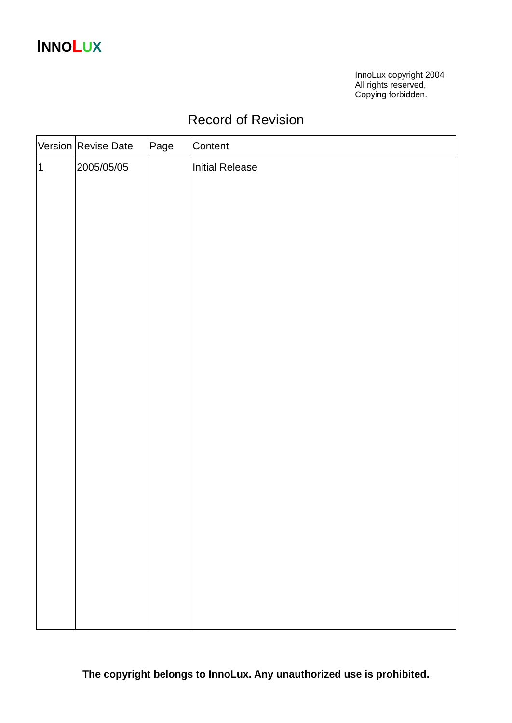# **INNOLUX**

InnoLux copyright 2004 All rights reserved, Copying forbidden.

## Record of Revision

|                | Version Revise Date | Page | Content         |
|----------------|---------------------|------|-----------------|
| $\overline{1}$ | 2005/05/05          |      | Initial Release |
|                |                     |      |                 |
|                |                     |      |                 |
|                |                     |      |                 |
|                |                     |      |                 |
|                |                     |      |                 |
|                |                     |      |                 |
|                |                     |      |                 |
|                |                     |      |                 |
|                |                     |      |                 |
|                |                     |      |                 |
|                |                     |      |                 |
|                |                     |      |                 |
|                |                     |      |                 |
|                |                     |      |                 |
|                |                     |      |                 |
|                |                     |      |                 |
|                |                     |      |                 |
|                |                     |      |                 |
|                |                     |      |                 |
|                |                     |      |                 |
|                |                     |      |                 |
|                |                     |      |                 |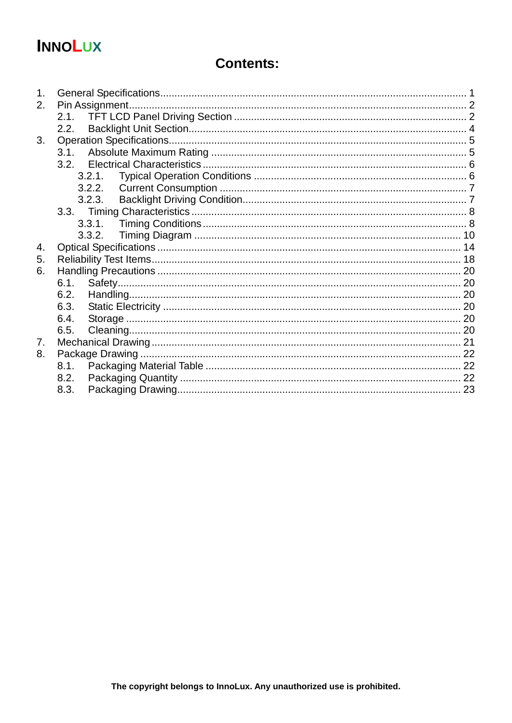# **INNOLUX**

## **Contents:**

| 1 <sub>1</sub> |        |  |
|----------------|--------|--|
| 2.             |        |  |
|                | 2.1.   |  |
|                | 2.2.   |  |
| 3.             |        |  |
|                | 3.1.   |  |
|                |        |  |
|                | 3.2.1. |  |
|                | 3.2.2. |  |
|                | 3.2.3. |  |
|                |        |  |
|                |        |  |
|                | 3.3.2. |  |
| 4.             |        |  |
| 5.             |        |  |
| 6.             |        |  |
|                | 6.1.   |  |
|                | 6.2.   |  |
|                | 6.3.   |  |
|                | 6.4.   |  |
|                | 6.5.   |  |
| $7_{\cdot}$    |        |  |
| 8.             |        |  |
|                | 8.1.   |  |
|                | 8.2.   |  |
|                | 8.3.   |  |
|                |        |  |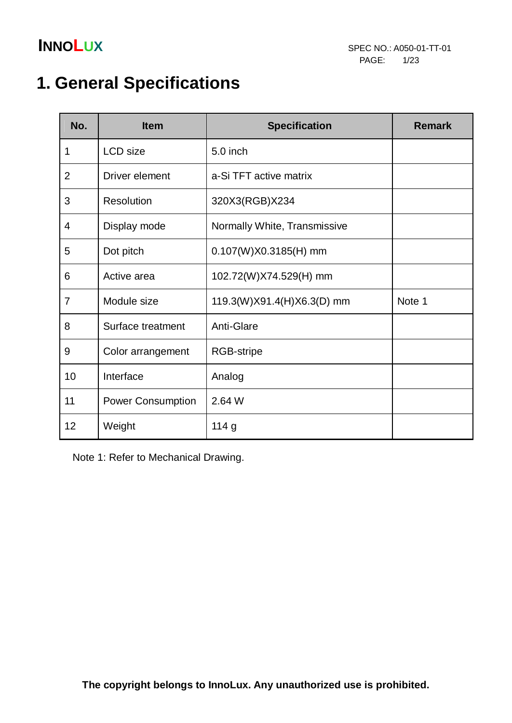

# **1. General Specifications**

| No.            | <b>Item</b>              | <b>Specification</b>         | <b>Remark</b> |
|----------------|--------------------------|------------------------------|---------------|
| 1              | LCD size                 | 5.0 inch                     |               |
| $\overline{2}$ | Driver element           | a-Si TFT active matrix       |               |
| 3              | <b>Resolution</b>        | 320X3(RGB)X234               |               |
| 4              | Display mode             | Normally White, Transmissive |               |
| 5              | Dot pitch                | 0.107(W)X0.3185(H) mm        |               |
| 6              | Active area              | 102.72(W)X74.529(H) mm       |               |
| $\overline{7}$ | Module size              | 119.3(W)X91.4(H)X6.3(D) mm   | Note 1        |
| 8              | Surface treatment        | Anti-Glare                   |               |
| $9$            | Color arrangement        | <b>RGB-stripe</b>            |               |
| 10             | Interface                | Analog                       |               |
| 11             | <b>Power Consumption</b> | 2.64 W                       |               |
| 12             | Weight                   | 114g                         |               |

Note 1: Refer to Mechanical Drawing.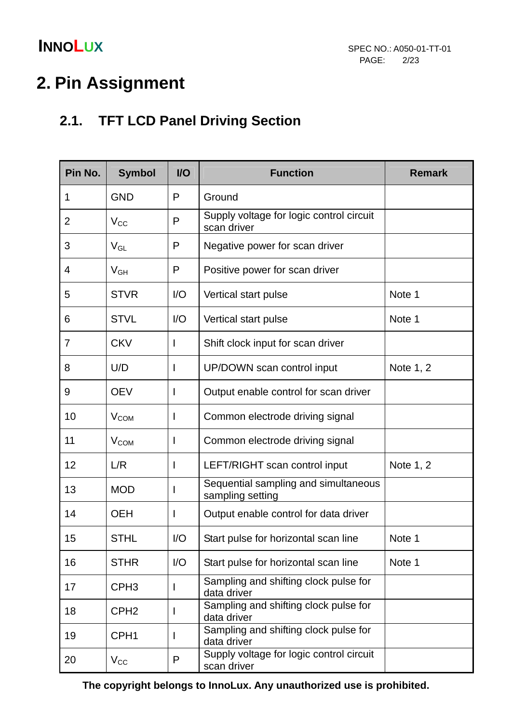# **2. Pin Assignment**

## **2.1. TFT LCD Panel Driving Section**

| Pin No.        | <b>Symbol</b>    | <b>VO</b>                   | <b>Function</b>                                          | <b>Remark</b> |
|----------------|------------------|-----------------------------|----------------------------------------------------------|---------------|
| 1              | <b>GND</b>       | P                           | Ground                                                   |               |
| $\overline{2}$ | $V_{CC}$         | P                           | Supply voltage for logic control circuit<br>scan driver  |               |
| 3              | $V_{GL}$         | P                           | Negative power for scan driver                           |               |
| 4              | $V_{GH}$         | P                           | Positive power for scan driver                           |               |
| 5              | <b>STVR</b>      | $\overline{1}/\overline{O}$ | Vertical start pulse                                     | Note 1        |
| 6              | <b>STVL</b>      | 1/O                         | Vertical start pulse                                     | Note 1        |
| $\overline{7}$ | <b>CKV</b>       | L                           | Shift clock input for scan driver                        |               |
| 8              | U/D              | I                           | UP/DOWN scan control input                               | Note 1, 2     |
| 9              | <b>OEV</b>       |                             | Output enable control for scan driver                    |               |
| 10             | V <sub>COM</sub> | I                           | Common electrode driving signal                          |               |
| 11             | $V_{COM}$        | I                           | Common electrode driving signal                          |               |
| 12             | L/R              | ı                           | LEFT/RIGHT scan control input                            | Note 1, 2     |
| 13             | <b>MOD</b>       | I                           | Sequential sampling and simultaneous<br>sampling setting |               |
| 14             | <b>OEH</b>       | I                           | Output enable control for data driver                    |               |
| 15             | <b>STHL</b>      | $\overline{1}/\overline{O}$ | Start pulse for horizontal scan line                     | Note 1        |
| 16             | <b>STHR</b>      | I/O                         | Start pulse for horizontal scan line                     | Note 1        |
| 17             | CPH <sub>3</sub> |                             | Sampling and shifting clock pulse for<br>data driver     |               |
| 18             | CPH <sub>2</sub> |                             | Sampling and shifting clock pulse for<br>data driver     |               |
| 19             | CPH <sub>1</sub> |                             | Sampling and shifting clock pulse for<br>data driver     |               |
| 20             | $V_{\rm CC}$     | P                           | Supply voltage for logic control circuit<br>scan driver  |               |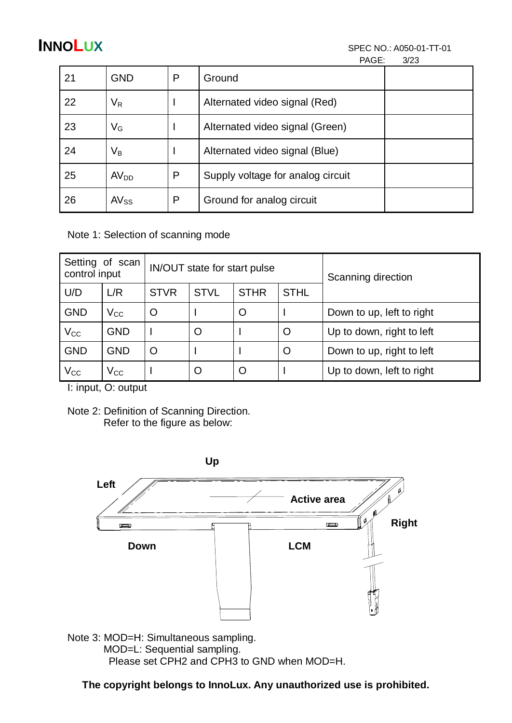| 21 | <b>GND</b>                | P | Ground                            |  |
|----|---------------------------|---|-----------------------------------|--|
| 22 | V <sub>R</sub>            |   | Alternated video signal (Red)     |  |
| 23 | $\mathsf{V}_{\mathsf{G}}$ |   | Alternated video signal (Green)   |  |
| 24 | Vв                        |   | Alternated video signal (Blue)    |  |
| 25 | AV <sub>DD</sub>          | P | Supply voltage for analog circuit |  |
| 26 | $AV_{SS}$                 | P | Ground for analog circuit         |  |

Note 1: Selection of scanning mode

| Setting of scan<br>control input |              |             | IN/OUT state for start pulse |             | Scanning direction |                           |  |
|----------------------------------|--------------|-------------|------------------------------|-------------|--------------------|---------------------------|--|
| U/D                              | L/R          | <b>STVR</b> | <b>STVL</b>                  | <b>STHR</b> | <b>STHL</b>        |                           |  |
| <b>GND</b>                       | $\rm V_{CC}$ | O           |                              | O           |                    | Down to up, left to right |  |
| $V_{CC}$                         | <b>GND</b>   |             | $\circ$                      |             | O                  | Up to down, right to left |  |
| <b>GND</b>                       | <b>GND</b>   | O           |                              |             | $\circ$            | Down to up, right to left |  |
| $\rm V_{CC}$                     | $V_{\rm CC}$ |             | O                            | O           |                    | Up to down, left to right |  |

I: input, O: output

Note 2: Definition of Scanning Direction. Refer to the figure as below:



Please set CPH2 and CPH3 to GND when MOD=H.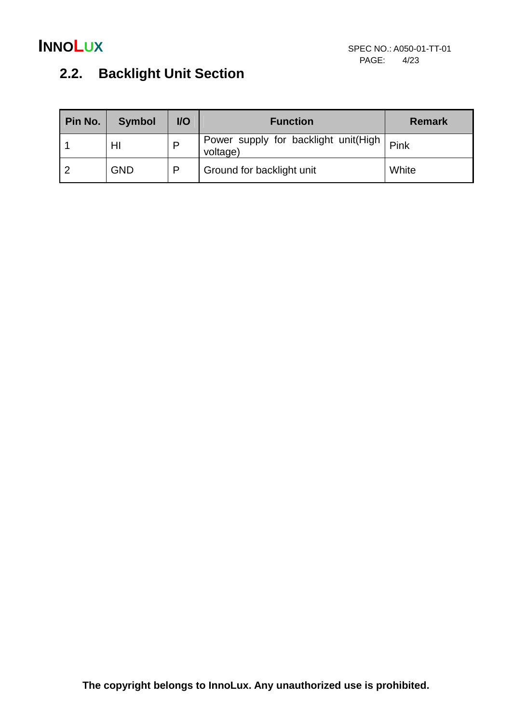## **2.2. Backlight Unit Section**

| Pin No. | <b>Symbol</b> | $UO$ | <b>Function</b>                                  | <b>Remark</b> |
|---------|---------------|------|--------------------------------------------------|---------------|
|         | HI            | P    | Power supply for backlight unit(High<br>voltage) | Pink          |
|         | <b>GND</b>    | D    | Ground for backlight unit                        | White         |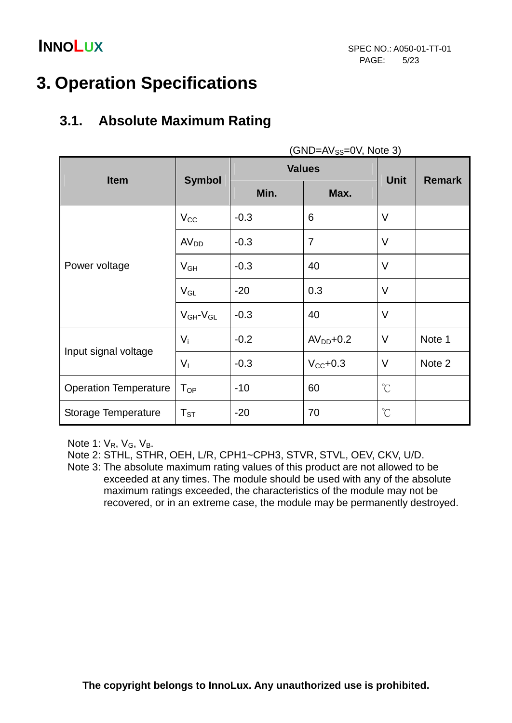# **3. Operation Specifications**

### **3.1. Absolute Maximum Rating**

|                              |                     |               | (GND=AV <sub>SS</sub> =0V, NOTE 3) |                      |               |
|------------------------------|---------------------|---------------|------------------------------------|----------------------|---------------|
|                              | <b>Symbol</b>       | <b>Values</b> |                                    |                      |               |
| <b>Item</b>                  |                     | Min.          | Max.                               | <b>Unit</b>          | <b>Remark</b> |
|                              | $V_{CC}$            | $-0.3$        | 6                                  | V                    |               |
|                              | AV <sub>DD</sub>    | $-0.3$        | $\overline{7}$                     | V                    |               |
| Power voltage                | $V_{GH}$            | $-0.3$        | 40                                 | V                    |               |
|                              | $V_{GL}$            | $-20$         | 0.3                                | $\vee$               |               |
|                              | $V_{GH}$ - $V_{GL}$ | $-0.3$        | 40                                 | $\vee$               |               |
|                              | $V_i$               | $-0.2$        | $AVDD+0.2$                         | V                    | Note 1        |
| Input signal voltage         | V <sub>1</sub>      | $-0.3$        | $V_{\text{CC}}$ +0.3               | V                    | Note 2        |
| <b>Operation Temperature</b> | $T_{OP}$            | $-10$         | 60                                 | $\mathrm{C}^{\circ}$ |               |
| Storage Temperature          | $T_{ST}$            | $-20$         | 70                                 | $\mathrm{C}^{\circ}$ |               |

 $(CND, AV, ON, Note 3)$ 

Note 1:  $V_R$ ,  $V_G$ ,  $V_B$ .

Note 2: STHL, STHR, OEH, L/R, CPH1~CPH3, STVR, STVL, OEV, CKV, U/D.

 Note 3: The absolute maximum rating values of this product are not allowed to be exceeded at any times. The module should be used with any of the absolute maximum ratings exceeded, the characteristics of the module may not be recovered, or in an extreme case, the module may be permanently destroyed.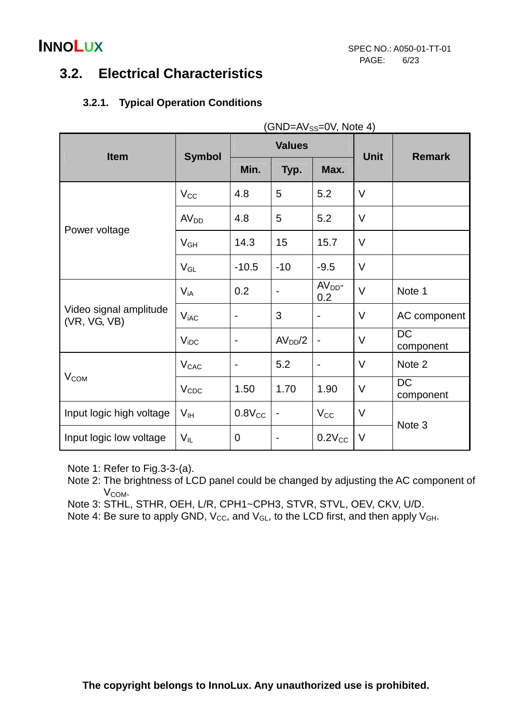### **3.2. Electrical Characteristics**

### **3.2.1. Typical Operation Conditions**

| (GND=AV <sub>SS</sub> =0V, Note 4)     |                  |                              |                     |                              |             |                        |
|----------------------------------------|------------------|------------------------------|---------------------|------------------------------|-------------|------------------------|
| <b>Item</b>                            | <b>Symbol</b>    | <b>Values</b>                |                     |                              | <b>Unit</b> | <b>Remark</b>          |
|                                        |                  | Min.                         | Typ.                | Max.                         |             |                        |
|                                        | $V_{\rm CC}$     | 4.8                          | 5                   | 5.2                          | $\vee$      |                        |
|                                        | AV <sub>DD</sub> | 4.8                          | 5                   | 5.2                          | $\vee$      |                        |
| Power voltage                          | $V_{GH}$         | 14.3                         | 15                  | 15.7                         | $\vee$      |                        |
|                                        | $V_{GL}$         | $-10.5$                      | $-10$               | $-9.5$                       | $\vee$      |                        |
|                                        | $V_{iA}$         | 0.2                          |                     | $AVDD$ -<br>0.2              | $\vee$      | Note 1                 |
| Video signal amplitude<br>(VR, VG, VB) | $V_{iAC}$        | $\overline{\phantom{0}}$     | 3                   | $\qquad \qquad \blacksquare$ | V           | AC component           |
|                                        | $V_{\text{IDC}}$ | $\blacksquare$               | AV <sub>DD</sub> /2 | $\blacksquare$               | $\vee$      | <b>DC</b><br>component |
|                                        | V <sub>CAC</sub> | $\qquad \qquad \blacksquare$ | 5.2                 | $\overline{\phantom{0}}$     | V           | Note 2                 |
| <b>V<sub>COM</sub></b>                 | $V_{CDC}$        | 1.50                         | 1.70                | 1.90                         | V           | <b>DC</b><br>component |
| Input logic high voltage               | V <sub>IH</sub>  | $0.8V_{CC}$                  |                     | $V_{\rm CC}$                 | V           | Note 3                 |
| Input logic low voltage                | $V_{IL}$         | $\mathbf 0$                  |                     | $0.2V_{CC}$                  | V           |                        |

Note 1: Refer to Fig.3-3-(a).

 Note 2: The brightness of LCD panel could be changed by adjusting the AC component of V<sub>COM</sub>.

Note 3: STHL, STHR, OEH, L/R, CPH1~CPH3, STVR, STVL, OEV, CKV, U/D.

Note 4: Be sure to apply GND,  $V_{CC}$ , and  $V_{GL}$ , to the LCD first, and then apply  $V_{GH}$ .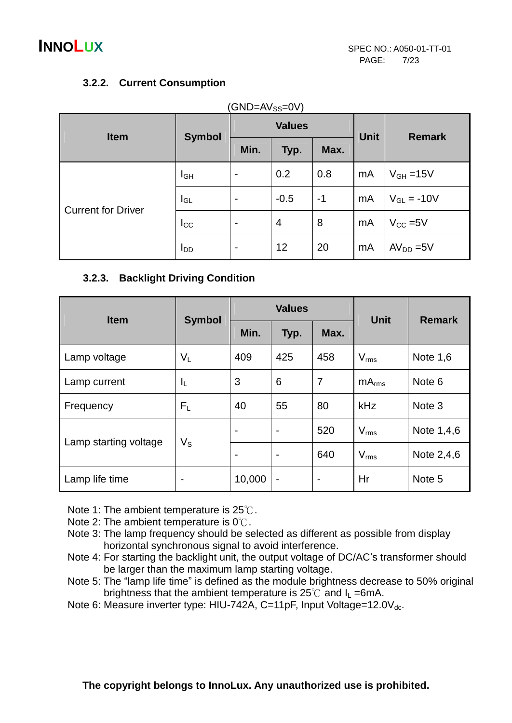### **3.2.2. Current Consumption**

| <b>Item</b>               |                        | <b>Values</b>  |        |      |             | <b>Remark</b>        |  |
|---------------------------|------------------------|----------------|--------|------|-------------|----------------------|--|
|                           | <b>Symbol</b>          | Min.           | Typ.   | Max. | <b>Unit</b> |                      |  |
| <b>Current for Driver</b> | $I_{GH}$               | $\blacksquare$ | 0.2    | 0.8  | mA          | $V_{GH} = 15V$       |  |
|                           | $I_{GL}$               | $\blacksquare$ | $-0.5$ | $-1$ | mA          | $V_{GL}$ = -10V      |  |
|                           | $I_{\rm CC}$           | $\blacksquare$ | 4      | 8    | mA          | $V_{\text{CC}} = 5V$ |  |
|                           | <b>I</b> <sub>DD</sub> | $\blacksquare$ | 12     | 20   | mA          | $AVDD = 5V$          |  |

**3.2.3. Backlight Driving Condition** 

| <b>Item</b>           |                         |                          | <b>Values</b>            |                      | <b>Unit</b>       | <b>Remark</b>     |  |
|-----------------------|-------------------------|--------------------------|--------------------------|----------------------|-------------------|-------------------|--|
|                       | <b>Symbol</b>           | Min.                     | Typ.                     | Max.                 |                   |                   |  |
| Lamp voltage          | $V_L$                   | 409                      | 425                      | 458                  | $V_{\rm rms}$     | Note $1,6$        |  |
| Lamp current          | $I_{\mathsf{L}}$        | 3                        | 6                        | 7                    | mA <sub>rms</sub> | Note <sub>6</sub> |  |
| Frequency             | $F_L$                   | 40                       | 55                       | 80                   | kHz               | Note 3            |  |
|                       |                         | $\overline{\phantom{a}}$ |                          | 520                  | $V_{\rm rms}$     | Note 1,4,6        |  |
| Lamp starting voltage | $\mathsf{V}_\mathsf{S}$ | $\overline{\phantom{a}}$ | $\overline{\phantom{0}}$ | 640<br>$V_{\rm rms}$ |                   | Note 2,4,6        |  |
| Lamp life time        |                         | 10,000                   |                          |                      | Hr                | Note 5            |  |

Note 1: The ambient temperature is 25℃.

- Note 2: The ambient temperature is 0℃.
- Note 3: The lamp frequency should be selected as different as possible from display horizontal synchronous signal to avoid interference.
- Note 4: For starting the backlight unit, the output voltage of DC/AC's transformer should be larger than the maximum lamp starting voltage.
- Note 5: The "lamp life time" is defined as the module brightness decrease to 50% original brightness that the ambient temperature is  $25^{\circ}$  and  $I_L = 6$ mA.
- Note 6: Measure inverter type: HIU-742A, C=11pF, Input Voltage=12.0V<sub>dc</sub>.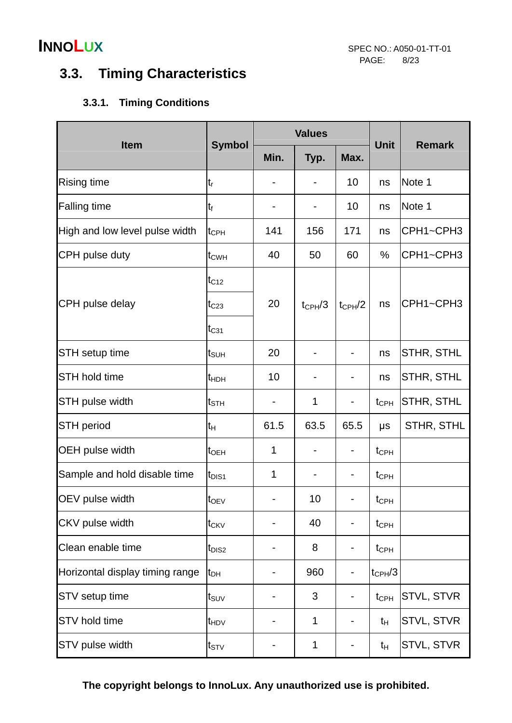## **3.3. Timing Characteristics**

### **3.3.1. Timing Conditions**

|                                 |                                |             | <b>Values</b>            |                          |                  |                   |
|---------------------------------|--------------------------------|-------------|--------------------------|--------------------------|------------------|-------------------|
| <b>Item</b>                     | <b>Symbol</b>                  | Min.        | Typ.                     | Max.                     | <b>Unit</b>      | <b>Remark</b>     |
| <b>Rising time</b>              | t,                             |             |                          | 10                       | ns               | Note 1            |
| <b>Falling time</b>             | $t_f$                          |             | $\overline{\phantom{a}}$ | 10                       | ns               | Note 1            |
| High and low level pulse width  | t <sub>CPH</sub>               | 141         | 156                      | 171                      | ns               | CPH1~CPH3         |
| CPH pulse duty                  | t <sub>CWH</sub>               | 40          | 50                       | 60                       | %                | CPH1~CPH3         |
|                                 | $t_{C12}$                      |             |                          |                          |                  |                   |
| CPH pulse delay                 | $t_{C23}$                      | 20          | $t_{\text{CPH}}/3$       | $t_{\text{CPH}}/2$       | ns               | CPH1~CPH3         |
|                                 | $t_{C31}$                      |             |                          |                          |                  |                   |
| <b>STH</b> setup time           | t <sub>suh</sub>               | 20          |                          | $\overline{\phantom{a}}$ | ns               | <b>STHR, STHL</b> |
| <b>STH hold time</b>            | t <sub>HDH</sub>               | 10          |                          | $\overline{\phantom{0}}$ | ns               | STHR, STHL        |
| STH pulse width                 | t <sub>sth</sub>               |             | 1                        | $\blacksquare$           | $t_{\text{CPH}}$ | <b>STHR, STHL</b> |
| <b>STH period</b>               | tн                             | 61.5        | 63.5                     | 65.5                     | μs               | STHR, STHL        |
| <b>OEH pulse width</b>          | $t_{\text{OEH}}$               | 1           | -                        | -                        | $t_{\text{CPH}}$ |                   |
| Sample and hold disable time    | t <sub>DIS1</sub>              | $\mathbf 1$ |                          | $\overline{\phantom{0}}$ | $t_{\text{CPH}}$ |                   |
| OEV pulse width                 | $t_{OEV}$                      |             | 10                       | $\overline{\phantom{0}}$ | $t_{\text{CPH}}$ |                   |
| CKV pulse width                 | t <sub>CKV</sub>               |             | 40                       | $\overline{\phantom{0}}$ | $t_{\text{CPH}}$ |                   |
| Clean enable time               | t <sub>DIS2</sub>              |             | 8                        | -                        | $t_{\text{CPH}}$ |                   |
| Horizontal display timing range | t <sub>DH</sub>                |             | 960                      |                          | $t_{CPH}/3$      |                   |
| STV setup time                  | $t_{\scriptstyle\textrm{SUV}}$ |             | 3                        | $\overline{\phantom{0}}$ | $t_{\text{CPH}}$ | STVL, STVR        |
| <b>STV</b> hold time            | t <sub>HDV</sub>               |             | 1                        | -                        | $t_{H}$          | <b>STVL, STVR</b> |
| STV pulse width                 | $t_{\footnotesize\rm STV}$     |             | 1                        |                          | $t_{H}$          | STVL, STVR        |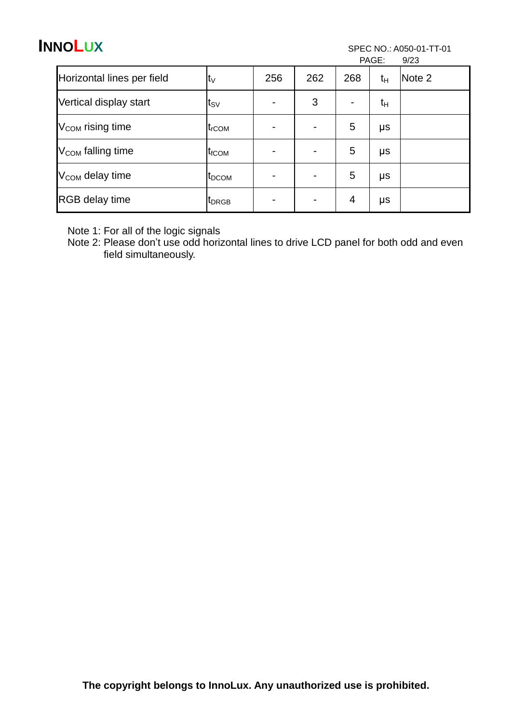PAGE: 9/23

|                               |                   |                          |     |                | . <u>.</u> | ں ے ان |
|-------------------------------|-------------------|--------------------------|-----|----------------|------------|--------|
| Horizontal lines per field    | $t_V$             | 256                      | 262 | 268            | $t_{H}$    | Note 2 |
| Vertical display start        | t <sub>sv</sub>   | $\overline{\phantom{a}}$ | 3   | $\blacksquare$ | tн         |        |
| V <sub>COM</sub> rising time  | $t_{\rm rCOM}$    | $\blacksquare$           |     | 5              | μs         |        |
| V <sub>COM</sub> falling time | t <sub>fCOM</sub> | $\blacksquare$           |     | 5              | μs         |        |
| V <sub>COM</sub> delay time   | <b>IDCOM</b>      | $\blacksquare$           |     | 5              | μs         |        |
| <b>RGB</b> delay time         | <b>I</b> DRGB     | $\blacksquare$           |     | 4              | μs         |        |

Note 1: For all of the logic signals

Note 2: Please don't use odd horizontal lines to drive LCD panel for both odd and even field simultaneously.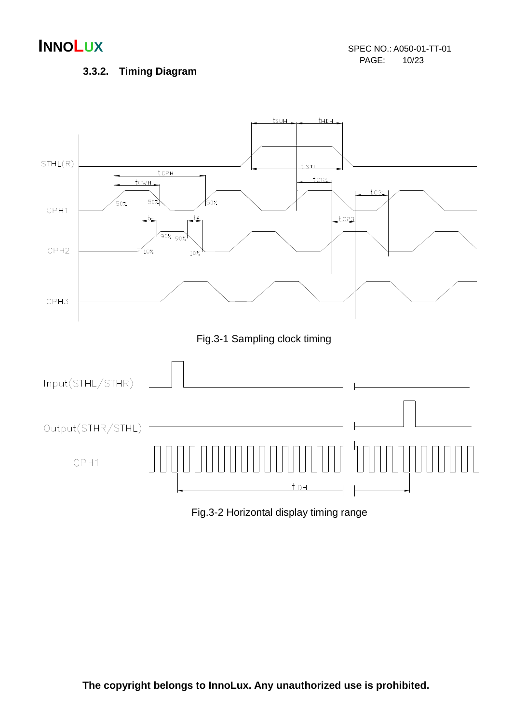### **3.3.2. Timing Diagram**

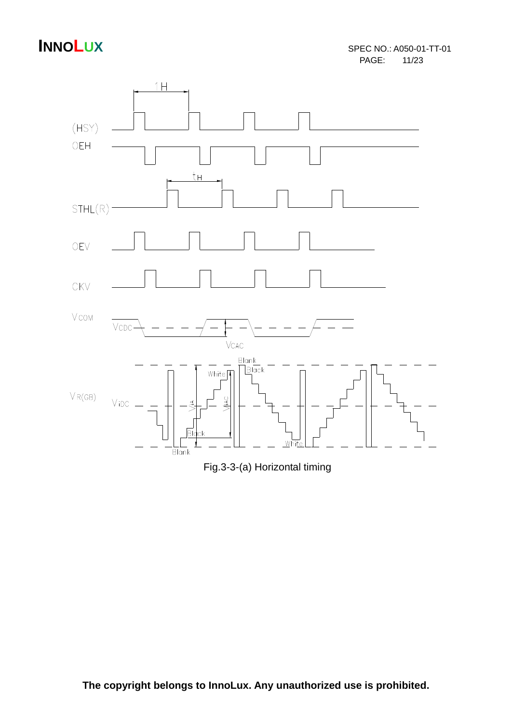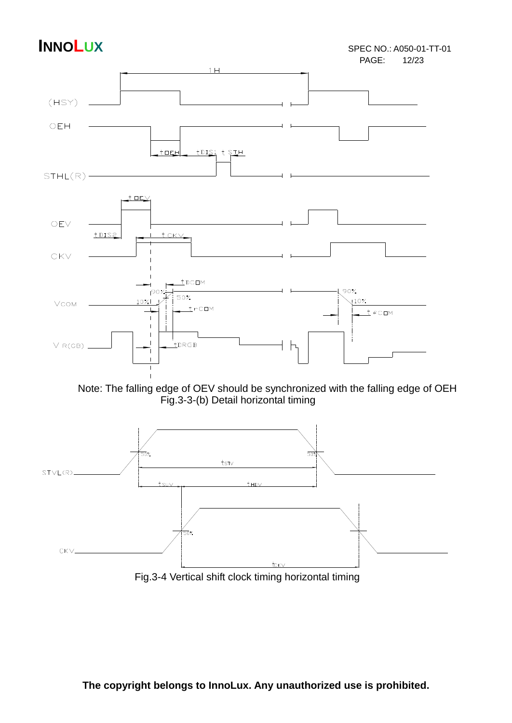### **INNOLUX** SPEC NO.: A050-01-TT-01 PAGE:





Fig.3-4 Vertical shift clock timing horizontal timing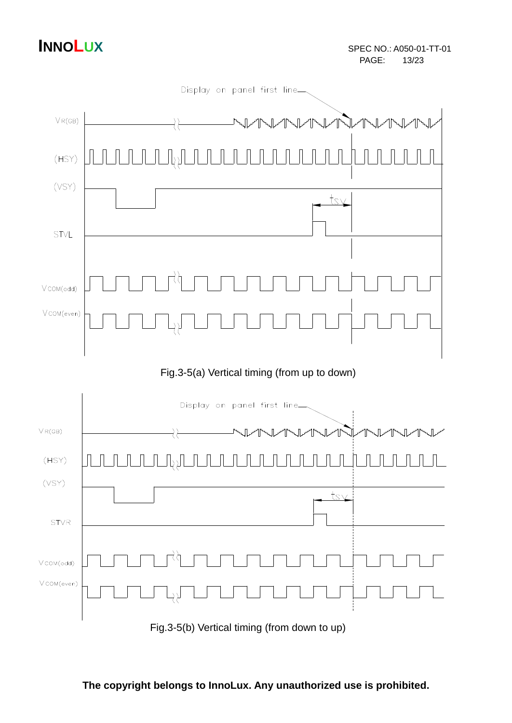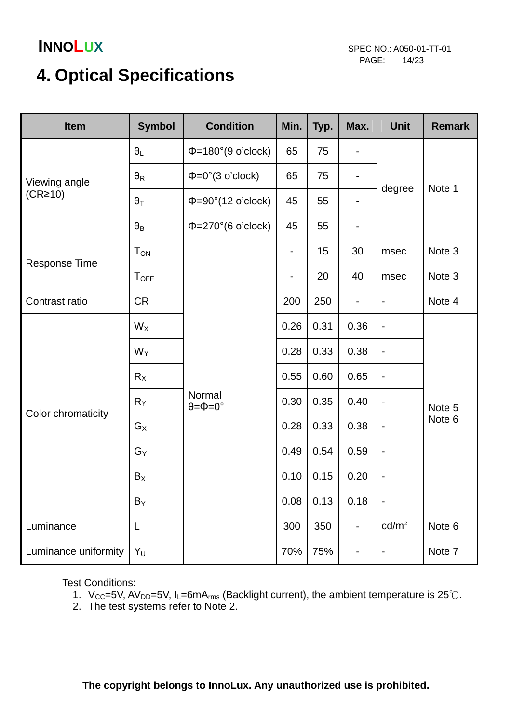# **4. Optical Specifications**

| <b>Item</b>          | <b>Symbol</b>          | <b>Condition</b>                                                                                                                                                                                                                                                                                                                                                                                                                                                                                                                                                                                                                                                                                                                | Min. | Typ. | Max. | <b>Unit</b> | <b>Remark</b>    |
|----------------------|------------------------|---------------------------------------------------------------------------------------------------------------------------------------------------------------------------------------------------------------------------------------------------------------------------------------------------------------------------------------------------------------------------------------------------------------------------------------------------------------------------------------------------------------------------------------------------------------------------------------------------------------------------------------------------------------------------------------------------------------------------------|------|------|------|-------------|------------------|
|                      | $\theta_L$             | $\Phi$ =180°(9 o'clock)                                                                                                                                                                                                                                                                                                                                                                                                                                                                                                                                                                                                                                                                                                         | 65   | 75   | -    |             |                  |
| Viewing angle        | $\theta_{\mathsf{R}}$  | $\Phi = 0^{\circ}$ (3 o'clock)                                                                                                                                                                                                                                                                                                                                                                                                                                                                                                                                                                                                                                                                                                  | 65   | 75   | -    |             | Note 1           |
| (CR <sub>210</sub> ) | $\theta_T$             | degree<br>$\Phi = 90^\circ (12 \text{ o'clock})$<br>45<br>55<br>-<br>$\Phi = 270^{\circ}$ (6 o'clock)<br>45<br>55<br>-<br>15<br>30<br>msec<br>$\qquad \qquad \blacksquare$<br>20<br>40<br>msec<br>$\overline{\phantom{a}}$<br>200<br>250<br>0.26<br>0.31<br>0.36<br>$\overline{\phantom{a}}$<br>0.28<br>0.33<br>0.38<br>$\blacksquare$<br>0.65<br>0.55<br>0.60<br>$\blacksquare$<br>Normal<br>0.30<br>0.35<br>0.40<br>$\blacksquare$<br>$\theta = \Phi = 0^{\circ}$<br>0.28<br>0.33<br>0.38<br>$\overline{\phantom{0}}$<br>0.49<br>0.54<br>0.59<br>$\blacksquare$<br>0.10<br>0.20<br>0.15<br>$\overline{\phantom{0}}$<br>0.08<br>0.13<br>0.18<br>$\overline{\phantom{a}}$<br>cd/m <sup>2</sup><br>300<br>350<br>-<br>70%<br>75% |      |      |      |             |                  |
|                      | $\theta_{\mathsf{B}}$  |                                                                                                                                                                                                                                                                                                                                                                                                                                                                                                                                                                                                                                                                                                                                 |      |      |      |             |                  |
|                      | <b>T</b> <sub>ON</sub> |                                                                                                                                                                                                                                                                                                                                                                                                                                                                                                                                                                                                                                                                                                                                 |      |      |      |             | Note 3           |
| <b>Response Time</b> | <b>TOFF</b>            |                                                                                                                                                                                                                                                                                                                                                                                                                                                                                                                                                                                                                                                                                                                                 |      |      |      |             | Note 3           |
| Contrast ratio       | <b>CR</b>              |                                                                                                                                                                                                                                                                                                                                                                                                                                                                                                                                                                                                                                                                                                                                 |      |      |      |             | Note 4           |
|                      | $W_X$                  |                                                                                                                                                                                                                                                                                                                                                                                                                                                                                                                                                                                                                                                                                                                                 |      |      |      |             | Note 5<br>Note 6 |
|                      | $W_Y$                  |                                                                                                                                                                                                                                                                                                                                                                                                                                                                                                                                                                                                                                                                                                                                 |      |      |      |             |                  |
|                      | $R_X$                  |                                                                                                                                                                                                                                                                                                                                                                                                                                                                                                                                                                                                                                                                                                                                 |      |      |      |             |                  |
|                      | $R_Y$                  |                                                                                                                                                                                                                                                                                                                                                                                                                                                                                                                                                                                                                                                                                                                                 |      |      |      |             |                  |
| Color chromaticity   | $G_X$                  |                                                                                                                                                                                                                                                                                                                                                                                                                                                                                                                                                                                                                                                                                                                                 |      |      |      |             |                  |
|                      | $G_Y$                  |                                                                                                                                                                                                                                                                                                                                                                                                                                                                                                                                                                                                                                                                                                                                 |      |      |      |             |                  |
|                      | $B_X$                  |                                                                                                                                                                                                                                                                                                                                                                                                                                                                                                                                                                                                                                                                                                                                 |      |      |      |             |                  |
|                      | $B_Y$                  |                                                                                                                                                                                                                                                                                                                                                                                                                                                                                                                                                                                                                                                                                                                                 |      |      |      |             |                  |
| Luminance            | L                      |                                                                                                                                                                                                                                                                                                                                                                                                                                                                                                                                                                                                                                                                                                                                 |      |      |      |             | Note 6           |
| Luminance uniformity | $Y_U$                  |                                                                                                                                                                                                                                                                                                                                                                                                                                                                                                                                                                                                                                                                                                                                 |      |      |      |             | Note 7           |

Test Conditions:

- 1. V<sub>CC</sub>=5V, AV<sub>DD</sub>=5V, I<sub>L</sub>=6mA<sub>rms</sub> (Backlight current), the ambient temperature is 25°C.
- 2. The test systems refer to Note 2.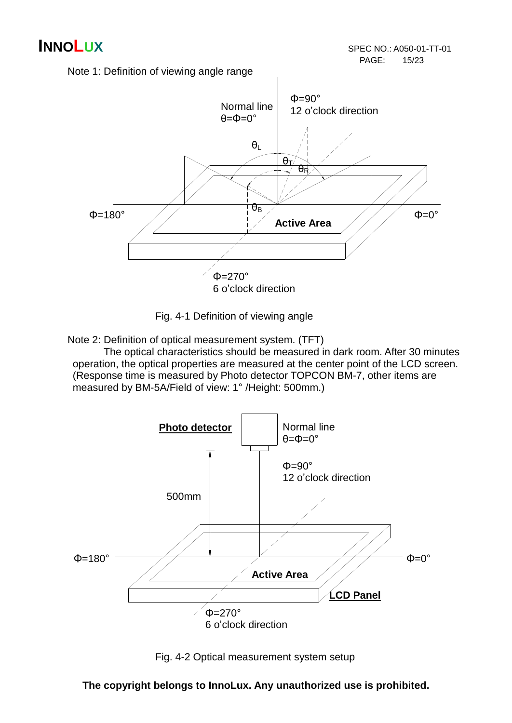Note 1: Definition of viewing angle range



Fig. 4-1 Definition of viewing angle

Note 2: Definition of optical measurement system. (TFT)

 The optical characteristics should be measured in dark room. After 30 minutes operation, the optical properties are measured at the center point of the LCD screen. (Response time is measured by Photo detector TOPCON BM-7, other items are measured by BM-5A/Field of view: 1° /Height: 500mm.)



Fig. 4-2 Optical measurement system setup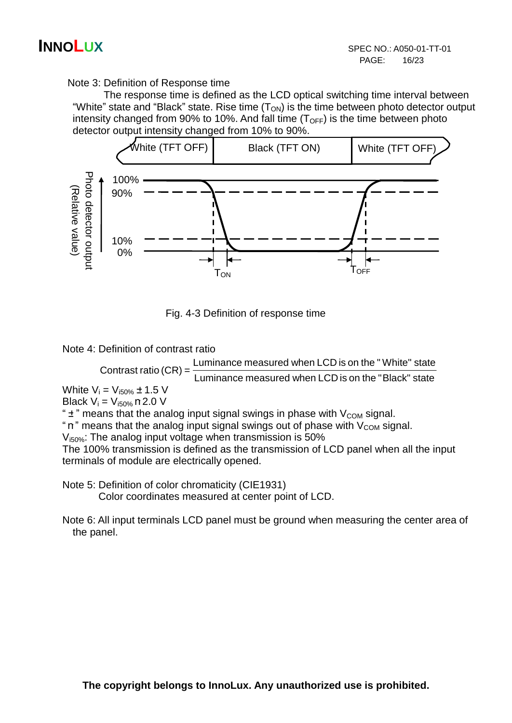Note 3: Definition of Response time

 The response time is defined as the LCD optical switching time interval between "White" state and "Black" state. Rise time  $(T<sub>ON</sub>)$  is the time between photo detector output intensity changed from 90% to 10%. And fall time  $(T<sub>OFF</sub>)$  is the time between photo detector output intensity changed from 10% to 90%.



Fig. 4-3 Definition of response time

Note 4: Definition of contrast ratio

 Luminance measured when LCD is on the "Black" state Luminance measured when LCD is on the " White" state Contrast ratio (CR) =

White  $V_i = V_{i50\%} \pm 1.5$  V Black  $V_i = V_{i50\%}$  m 2.0 V

" $\pm$ " means that the analog input signal swings in phase with  $V_{COM}$  signal.

" $\mathbf{n}$ " means that the analog input signal swings out of phase with  $V_{COM}$  signal.

 $V_{.50\%}$ : The analog input voltage when transmission is 50%

The 100% transmission is defined as the transmission of LCD panel when all the input terminals of module are electrically opened.

 Note 5: Definition of color chromaticity (CIE1931) Color coordinates measured at center point of LCD.

 Note 6: All input terminals LCD panel must be ground when measuring the center area of the panel.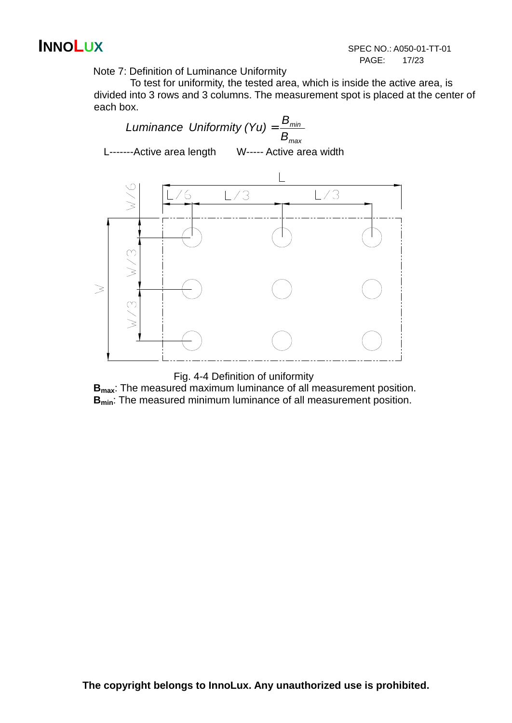Note 7: Definition of Luminance Uniformity

To test for uniformity, the tested area, which is inside the active area, is divided into 3 rows and 3 columns. The measurement spot is placed at the center of each box.



Fig. 4-4 Definition of uniformity

**Bmax**: The measured maximum luminance of all measurement position. **Bmin**: The measured minimum luminance of all measurement position.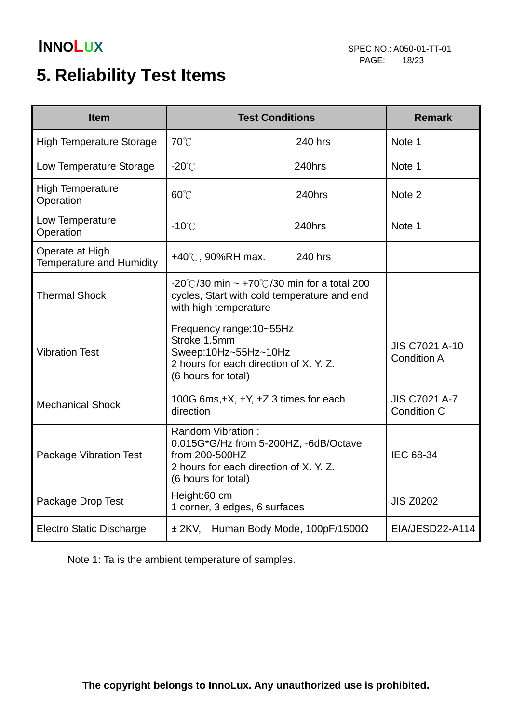# **5. Reliability Test Items**

| <b>Item</b>                                        |                                                                                                                                               | <b>Test Conditions</b>                                                                     | <b>Remark</b>                               |
|----------------------------------------------------|-----------------------------------------------------------------------------------------------------------------------------------------------|--------------------------------------------------------------------------------------------|---------------------------------------------|
| <b>High Temperature Storage</b>                    | 70°C                                                                                                                                          | 240 hrs                                                                                    | Note 1                                      |
| Low Temperature Storage                            | $-20^{\circ}$ C                                                                                                                               | 240hrs                                                                                     | Note 1                                      |
| <b>High Temperature</b><br>Operation               | $60^{\circ}$ C                                                                                                                                | 240hrs                                                                                     | Note 2                                      |
| Low Temperature<br>Operation                       | $-10^{\circ}$ C                                                                                                                               | 240hrs                                                                                     | Note 1                                      |
| Operate at High<br><b>Temperature and Humidity</b> | +40℃, 90%RH max.                                                                                                                              | 240 hrs                                                                                    |                                             |
| <b>Thermal Shock</b>                               | with high temperature                                                                                                                         | -20°C/30 min ~ +70°C/30 min for a total 200<br>cycles, Start with cold temperature and end |                                             |
| <b>Vibration Test</b>                              | Frequency range: 10~55Hz<br>Stroke:1.5mm<br>Sweep:10Hz~55Hz~10Hz<br>2 hours for each direction of X. Y. Z.<br>(6 hours for total)             |                                                                                            | <b>JIS C7021 A-10</b><br><b>Condition A</b> |
| <b>Mechanical Shock</b>                            | 100G 6ms, ±X, ±Y, ±Z 3 times for each<br>direction                                                                                            |                                                                                            | <b>JIS C7021 A-7</b><br><b>Condition C</b>  |
| <b>Package Vibration Test</b>                      | Random Vibration:<br>0.015G*G/Hz from 5-200HZ, -6dB/Octave<br>from 200-500HZ<br>2 hours for each direction of X. Y. Z.<br>(6 hours for total) |                                                                                            | IEC 68-34                                   |
| Package Drop Test                                  | Height:60 cm<br>1 corner, 3 edges, 6 surfaces                                                                                                 |                                                                                            | <b>JIS Z0202</b>                            |
| <b>Electro Static Discharge</b>                    |                                                                                                                                               | $±$ 2KV, Human Body Mode, 100pF/1500 $\Omega$                                              | EIA/JESD22-A114                             |

Note 1: Ta is the ambient temperature of samples.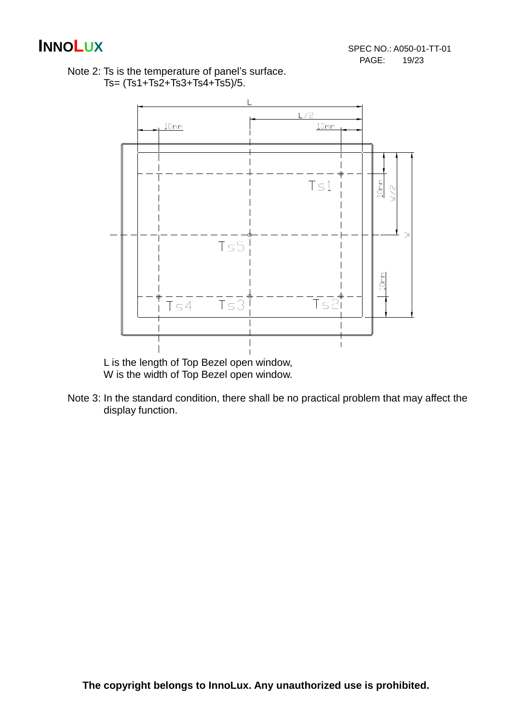



 L is the length of Top Bezel open window, W is the width of Top Bezel open window.

Note 3: In the standard condition, there shall be no practical problem that may affect the display function.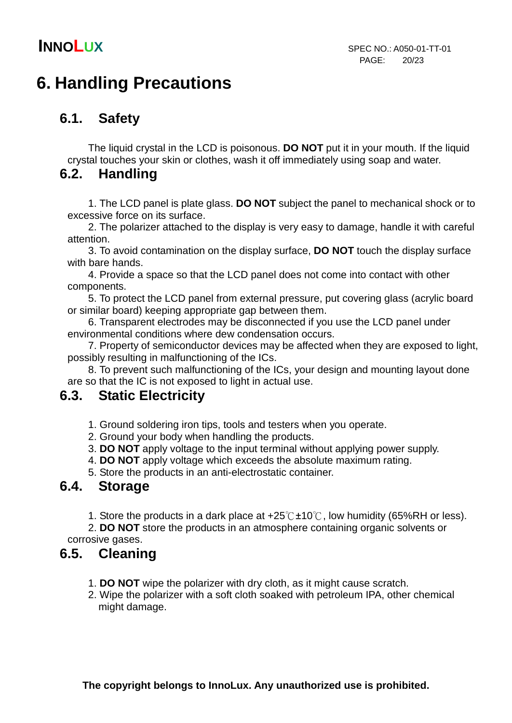# **6. Handling Precautions**

### **6.1. Safety**

The liquid crystal in the LCD is poisonous. **DO NOT** put it in your mouth. If the liquid crystal touches your skin or clothes, wash it off immediately using soap and water.

### **6.2. Handling**

1. The LCD panel is plate glass. **DO NOT** subject the panel to mechanical shock or to excessive force on its surface.

2. The polarizer attached to the display is very easy to damage, handle it with careful attention.

3. To avoid contamination on the display surface, **DO NOT** touch the display surface with bare hands.

4. Provide a space so that the LCD panel does not come into contact with other components.

5. To protect the LCD panel from external pressure, put covering glass (acrylic board or similar board) keeping appropriate gap between them.

6. Transparent electrodes may be disconnected if you use the LCD panel under environmental conditions where dew condensation occurs.

7. Property of semiconductor devices may be affected when they are exposed to light, possibly resulting in malfunctioning of the ICs.

8. To prevent such malfunctioning of the ICs, your design and mounting layout done are so that the IC is not exposed to light in actual use.

### **6.3. Static Electricity**

1. Ground soldering iron tips, tools and testers when you operate.

- 2. Ground your body when handling the products.
- 3. **DO NOT** apply voltage to the input terminal without applying power supply.
- 4. **DO NOT** apply voltage which exceeds the absolute maximum rating.

5. Store the products in an anti-electrostatic container.

### **6.4. Storage**

1. Store the products in a dark place at  $+25^{\circ}$ C $\pm$ 10°C, low humidity (65%RH or less).

 2. **DO NOT** store the products in an atmosphere containing organic solvents or corrosive gases.

### **6.5. Cleaning**

- 1. **DO NOT** wipe the polarizer with dry cloth, as it might cause scratch.
- 2. Wipe the polarizer with a soft cloth soaked with petroleum IPA, other chemical might damage.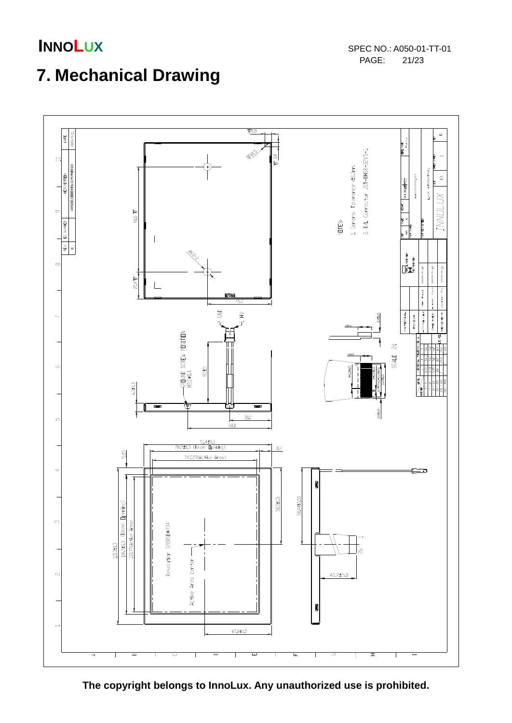

# **7. Mechanical Drawing**



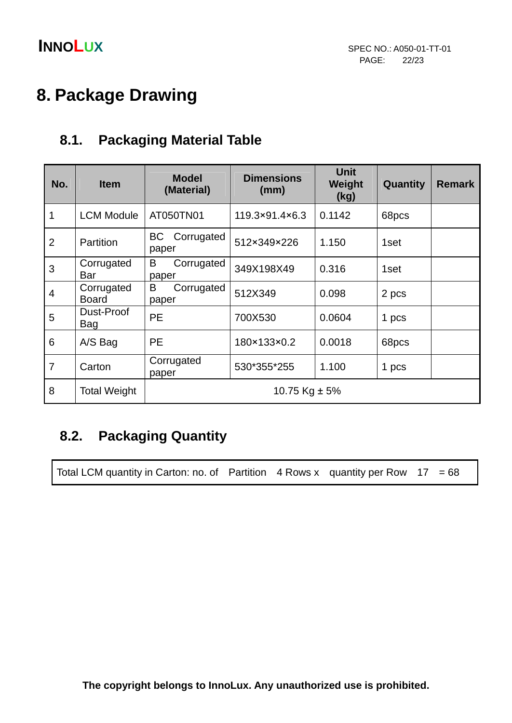# **8. Package Drawing**

### **8.1. Packaging Material Table**

| No.            | <b>Item</b>                | <b>Model</b><br>(Material)       | <b>Dimensions</b><br>(mm) | <b>Unit</b><br>Weight<br>(kg) | Quantity | <b>Remark</b> |  |
|----------------|----------------------------|----------------------------------|---------------------------|-------------------------------|----------|---------------|--|
| $\overline{1}$ | <b>LCM Module</b>          | AT050TN01                        | 119.3×91.4×6.3            | 0.1142                        | 68pcs    |               |  |
| $\overline{2}$ | Partition                  | <b>BC</b><br>Corrugated<br>paper | 512×349×226               | 1.150                         | 1set     |               |  |
| 3              | Corrugated<br>Bar          | B<br>Corrugated<br>paper         | 349X198X49                | 0.316                         | 1set     |               |  |
| $\overline{4}$ | Corrugated<br><b>Board</b> | B<br>Corrugated<br>paper         | 512X349                   | 0.098                         | 2 pcs    |               |  |
| 5              | Dust-Proof<br>Bag          | <b>PE</b>                        | 700X530                   | 0.0604                        | 1 pcs    |               |  |
| 6              | A/S Bag                    | <b>PE</b>                        | 180×133×0.2               | 0.0018                        | 68pcs    |               |  |
| $\overline{7}$ | Carton                     | Corrugated<br>paper              | 530*355*255               | 1.100                         | 1 pcs    |               |  |
| 8              | <b>Total Weight</b>        | 10.75 Kg $\pm$ 5%                |                           |                               |          |               |  |

### **8.2. Packaging Quantity**

Total LCM quantity in Carton: no. of Partition  $4$  Rows x quantity per Row  $17 = 68$